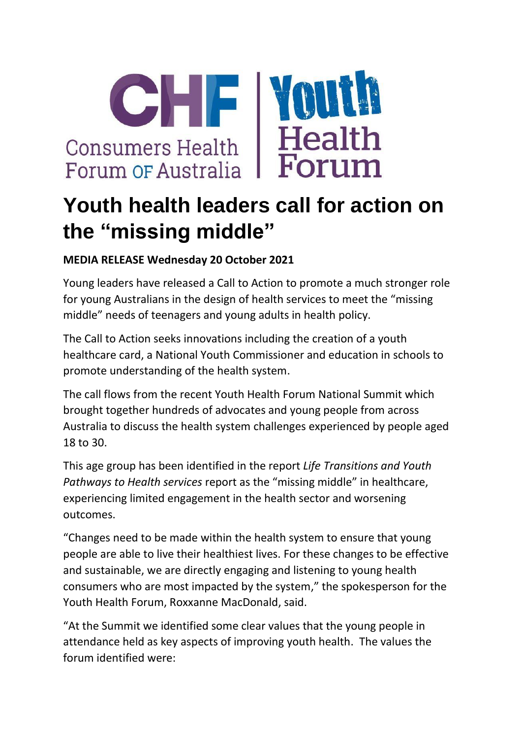

## **Youth health leaders call for action on the "missing middle"**

## **MEDIA RELEASE Wednesday 20 October 2021**

Young leaders have released a Call to Action to promote a much stronger role for young Australians in the design of health services to meet the "missing middle" needs of teenagers and young adults in health policy.

The Call to Action seeks innovations including the creation of a youth healthcare card, a National Youth Commissioner and education in schools to promote understanding of the health system.

The call flows from the recent Youth Health Forum National Summit which brought together hundreds of advocates and young people from across Australia to discuss the health system challenges experienced by people aged 18 to 30.

This age group has been identified in the report *Life Transitions and Youth Pathways to Health services* report as the "missing middle" in healthcare, experiencing limited engagement in the health sector and worsening outcomes.

"Changes need to be made within the health system to ensure that young people are able to live their healthiest lives. For these changes to be effective and sustainable, we are directly engaging and listening to young health consumers who are most impacted by the system," the spokesperson for the Youth Health Forum, Roxxanne MacDonald, said.

"At the Summit we identified some clear values that the young people in attendance held as key aspects of improving youth health. The values the forum identified were: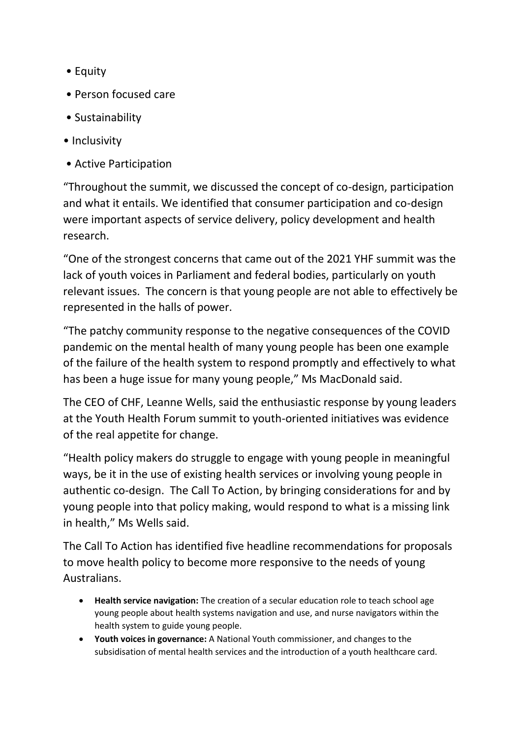- Equity
- Person focused care
- Sustainability
- Inclusivity
- Active Participation

"Throughout the summit, we discussed the concept of co-design, participation and what it entails. We identified that consumer participation and co-design were important aspects of service delivery, policy development and health research.

"One of the strongest concerns that came out of the 2021 YHF summit was the lack of youth voices in Parliament and federal bodies, particularly on youth relevant issues. The concern is that young people are not able to effectively be represented in the halls of power.

"The patchy community response to the negative consequences of the COVID pandemic on the mental health of many young people has been one example of the failure of the health system to respond promptly and effectively to what has been a huge issue for many young people," Ms MacDonald said.

The CEO of CHF, Leanne Wells, said the enthusiastic response by young leaders at the Youth Health Forum summit to youth-oriented initiatives was evidence of the real appetite for change.

"Health policy makers do struggle to engage with young people in meaningful ways, be it in the use of existing health services or involving young people in authentic co-design. The Call To Action, by bringing considerations for and by young people into that policy making, would respond to what is a missing link in health," Ms Wells said.

The Call To Action has identified five headline recommendations for proposals to move health policy to become more responsive to the needs of young Australians.

- **Health service navigation:** The creation of a secular education role to teach school age young people about health systems navigation and use, and nurse navigators within the health system to guide young people.
- **Youth voices in governance:** A National Youth commissioner, and changes to the subsidisation of mental health services and the introduction of a youth healthcare card.